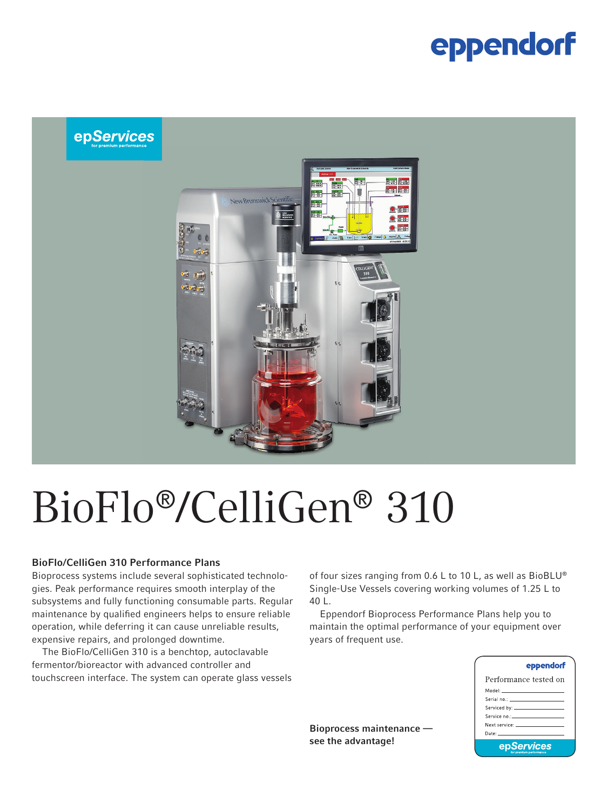## eppendorf



# BioFlo®/CelliGen® 310

#### BioFlo/CelliGen 310 Performance Plans

Bioprocess systems include several sophisticated technologies. Peak performance requires smooth interplay of the subsystems and fully functioning consumable parts. Regular maintenance by qualified engineers helps to ensure reliable operation, while deferring it can cause unreliable results, expensive repairs, and prolonged downtime.

The BioFlo/CelliGen 310 is a benchtop, autoclavable fermentor/bioreactor with advanced controller and touchscreen interface. The system can operate glass vessels of four sizes ranging from 0.6 L to 10 L, as well as BioBLU® Single-Use Vessels covering working volumes of 1.25 L to 40 L.

Eppendorf Bioprocess Performance Plans help you to maintain the optimal performance of your equipment over years of frequent use.

| eppendorf                                                                                                                                                                                                                      |  |  |
|--------------------------------------------------------------------------------------------------------------------------------------------------------------------------------------------------------------------------------|--|--|
| Performance tested on                                                                                                                                                                                                          |  |  |
| Model: _____________________                                                                                                                                                                                                   |  |  |
| Serial no.; _______________________                                                                                                                                                                                            |  |  |
|                                                                                                                                                                                                                                |  |  |
| Service no.: The contract of the contract of the contract of the contract of the contract of the contract of the                                                                                                               |  |  |
| Next service: The contract of the contract of the contract of the contract of the contract of the contract of the contract of the contract of the contract of the contract of the contract of the contract of the contract of  |  |  |
| Date: The Contract of the Contract of the Contract of the Contract of the Contract of the Contract of the Contract of the Contract of the Contract of the Contract of the Contract of the Contract of the Contract of the Cont |  |  |
| epServices                                                                                                                                                                                                                     |  |  |

Bioprocess maintenance see the advantage!